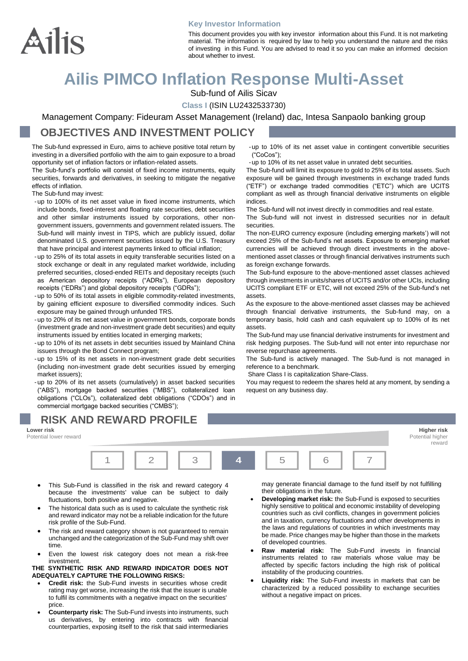

#### **Key Investor Information**

This document provides you with key investor information about this Fund. It is not marketing material. The information is required by law to help you understand the nature and the risks of investing in this Fund. You are advised to read it so you can make an informed decision about whether to invest.

## **Ailis PIMCO Inflation Response Multi-Asset**

Sub-fund of Ailis Sicav

**Class I** (ISIN LU2432533730)

Management Company: Fideuram Asset Management (Ireland) dac, Intesa Sanpaolo banking group

### **OBJECTIVES AND INVESTMENT POLICY**

The Sub-fund expressed in Euro, aims to achieve positive total return by investing in a diversified portfolio with the aim to gain exposure to a broad opportunity set of inflation factors or inflation-related assets.

The Sub-fund's portfolio will consist of fixed income instruments, equity securities, forwards and derivatives, in seeking to mitigate the negative effects of inflation.

The Sub-fund may invest:

- -up to 100% of its net asset value in fixed income instruments, which include bonds, fixed-interest and floating rate securities, debt securities and other similar instruments issued by corporations, other nongovernment issuers, governments and government related issuers. The Sub-fund will mainly invest in TIPS, which are publicly issued, dollar denominated U.S. government securities issued by the U.S. Treasury that have principal and interest payments linked to official inflation;
- -up to 25% of its total assets in equity transferable securities listed on a stock exchange or dealt in any regulated market worldwide, including preferred securities, closed-ended REITs and depositary receipts (such as American depository receipts ("ADRs"), European depository receipts ("EDRs") and global depository receipts ("GDRs");
- -up to 50% of its total assets in eligible commodity-related investments, by gaining efficient exposure to diversified commodity indices. Such exposure may be gained through unfunded TRS.
- -up to 20% of its net asset value in government bonds, corporate bonds (investment grade and non-investment grade debt securities) and equity instruments issued by entities located in emerging markets;
- -up to 10% of its net assets in debt securities issued by Mainland China issuers through the Bond Connect program;
- -up to 15% of its net assets in non-investment grade debt securities (including non-investment grade debt securities issued by emerging market issuers);

-up to 20% of its net assets (cumulatively) in asset backed securities ("ABS"), mortgage backed securities ("MBS"), collateralized loan obligations ("CLOs"), collateralized debt obligations ("CDOs") and in commercial mortgage backed securities ("CMBS");

# **RISK AND REWARD PROFILE**

**Lower risk Higher risk** Potential lower reward **Potential higher** Potential higher problems in the potential higher potential higher potential higher



- This Sub-Fund is classified in the risk and reward category 4 because the investments' value can be subject to daily fluctuations, both positive and negative.
- The historical data such as is used to calculate the synthetic risk and reward indicator may not be a reliable indication for the future risk profile of the Sub-Fund.
- The risk and reward category shown is not quaranteed to remain unchanged and the categorization of the Sub-Fund may shift over time.
- Even the lowest risk category does not mean a risk-free investment.

#### **THE SYNTHETIC RISK AND REWARD INDICATOR DOES NOT ADEQUATELY CAPTURE THE FOLLOWING RISKS:**

- **Credit risk:** the Sub-Fund invests in securities whose credit rating may get worse, increasing the risk that the issuer is unable to fulfil its commitments with a negative impact on the securities' price.
- **Counterparty risk:** The Sub-Fund invests into instruments, such us derivatives, by entering into contracts with financial counterparties, exposing itself to the risk that said intermediaries

-up to 10% of its net asset value in contingent convertible securities ("CoCos");

-up to 10% of its net asset value in unrated debt securities.

The Sub-fund will limit its exposure to gold to 25% of its total assets. Such exposure will be gained through investments in exchange traded funds ("ETF") or exchange traded commodities ("ETC") which are UCITS compliant as well as through financial derivative instruments on eligible indices.

The Sub-fund will not invest directly in commodities and real estate.

The Sub-fund will not invest in distressed securities nor in default securities.

The non-EURO currency exposure (including emerging markets') will not exceed 25% of the Sub-fund's net assets. Exposure to emerging market currencies will be achieved through direct investments in the abovementioned asset classes or through financial derivatives instruments such as foreign exchange forwards.

The Sub-fund exposure to the above-mentioned asset classes achieved through investments in units/shares of UCITS and/or other UCIs, including UCITS compliant ETF or ETC, will not exceed 25% of the Sub-fund's net assets.

As the exposure to the above-mentioned asset classes may be achieved through financial derivative instruments, the Sub-fund may, on a temporary basis, hold cash and cash equivalent up to 100% of its net assets.

The Sub-fund may use financial derivative instruments for investment and risk hedging purposes. The Sub-fund will not enter into repurchase nor reverse repurchase agreements.

The Sub-fund is actively managed. The Sub-fund is not managed in reference to a benchmark.

Share Class I is capitalization Share-Class.

You may request to redeem the shares held at any moment, by sending a request on any business day.

may generate financial damage to the fund itself by not fulfilling their obligations in the future.

reward

- **Developing market risk:** the Sub-Fund is exposed to securities highly sensitive to political and economic instability of developing countries such as civil conflicts, changes in government policies and in taxation, currency fluctuations and other developments in the laws and regulations of countries in which investments may be made. Price changes may be higher than those in the markets of developed countries.
- **Raw material risk:** The Sub-Fund invests in financial instruments related to raw materials whose value may be affected by specific factors including the high risk of political instability of the producing countries.
- **Liquidity risk:** The Sub-Fund invests in markets that can be characterized by a reduced possibility to exchange securities without a negative impact on prices.